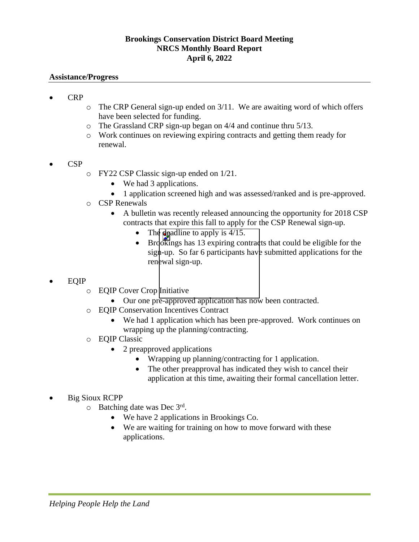## **Brookings Conservation District Board Meeting NRCS Monthly Board Report April 6, 2022**

## **Assistance/Progress**

- CRP
	- $\circ$  The CRP General sign-up ended on 3/11. We are awaiting word of which offers have been selected for funding.
	- o The Grassland CRP sign-up began on 4/4 and continue thru 5/13.
	- o Work continues on reviewing expiring contracts and getting them ready for renewal.
- CSP
- o FY22 CSP Classic sign-up ended on 1/21.
	- We had 3 applications.
	- 1 application screened high and was assessed/ranked and is pre-approved.
- o CSP Renewals
	- A bulletin was recently released announcing the opportunity for 2018 CSP contracts that expire this fall to apply for the CSP Renewal sign-up.
		- The deadline to apply is  $4/15$ .
		- Brookings has 13 expiring contracts that could be eligible for the sign-up. So far 6 participants have submitted applications for the renewal sign-up.
- EQIP
	- o EQIP Cover Crop Initiative
		- Our one pre-approved application has now been contracted.
	- o EQIP Conservation Incentives Contract
		- We had 1 application which has been pre-approved. Work continues on wrapping up the planning/contracting.
	- o EQIP Classic
		- 2 preapproved applications
			- Wrapping up planning/contracting for 1 application.
			- The other preapproval has indicated they wish to cancel their application at this time, awaiting their formal cancellation letter.
- Big Sioux RCPP
	- $\circ$  Batching date was Dec 3rd.
		- We have 2 applications in Brookings Co.
		- We are waiting for training on how to move forward with these applications.